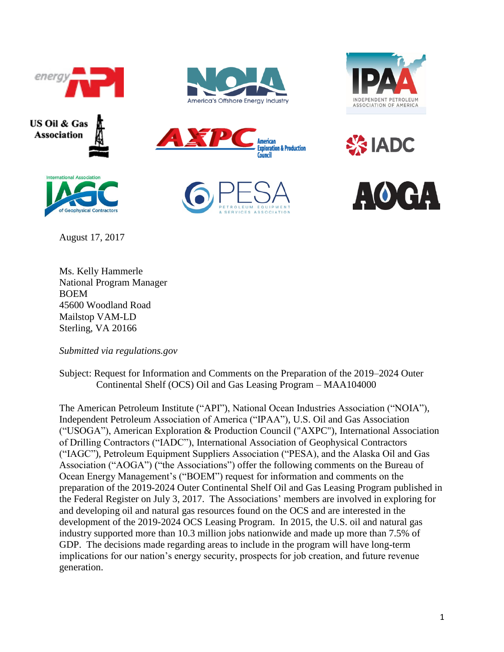





August 17, 2017





**SSIADC** 







Ms. Kelly Hammerle National Program Manager BOEM 45600 Woodland Road Mailstop VAM-LD Sterling, VA 20166

*Submitted via regulations.gov*

Subject: Request for Information and Comments on the Preparation of the 2019–2024 Outer Continental Shelf (OCS) Oil and Gas Leasing Program – MAA104000

The American Petroleum Institute ("API"), National Ocean Industries Association ("NOIA"), Independent Petroleum Association of America ("IPAA"), U.S. Oil and Gas Association ("USOGA"), American Exploration & Production Council ("AXPC"), International Association of Drilling Contractors ("IADC"), International Association of Geophysical Contractors ("IAGC"), Petroleum Equipment Suppliers Association ("PESA), and the Alaska Oil and Gas Association ("AOGA") ("the Associations") offer the following comments on the Bureau of Ocean Energy Management's ("BOEM") request for information and comments on the preparation of the 2019-2024 Outer Continental Shelf Oil and Gas Leasing Program published in the Federal Register on July 3, 2017. The Associations' members are involved in exploring for and developing oil and natural gas resources found on the OCS and are interested in the development of the 2019-2024 OCS Leasing Program. In 2015, the U.S. oil and natural gas industry supported more than 10.3 million jobs nationwide and made up more than 7.5% of GDP. The decisions made regarding areas to include in the program will have long-term implications for our nation's energy security, prospects for job creation, and future revenue generation.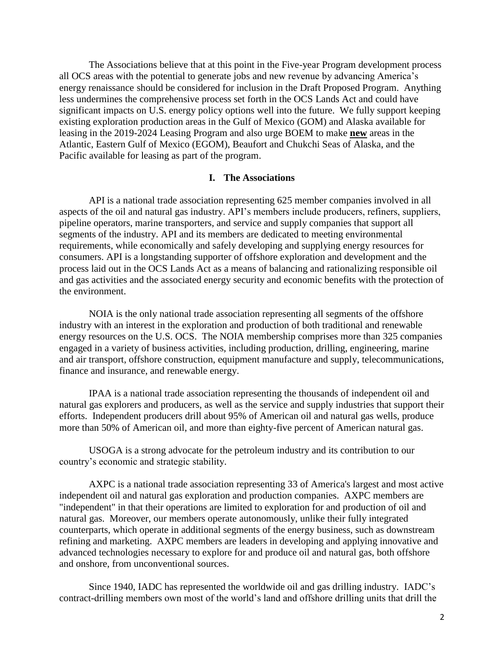The Associations believe that at this point in the Five-year Program development process all OCS areas with the potential to generate jobs and new revenue by advancing America's energy renaissance should be considered for inclusion in the Draft Proposed Program. Anything less undermines the comprehensive process set forth in the OCS Lands Act and could have significant impacts on U.S. energy policy options well into the future. We fully support keeping existing exploration production areas in the Gulf of Mexico (GOM) and Alaska available for leasing in the 2019-2024 Leasing Program and also urge BOEM to make **new** areas in the Atlantic, Eastern Gulf of Mexico (EGOM), Beaufort and Chukchi Seas of Alaska, and the Pacific available for leasing as part of the program.

#### **I. The Associations**

API is a national trade association representing 625 member companies involved in all aspects of the oil and natural gas industry. API's members include producers, refiners, suppliers, pipeline operators, marine transporters, and service and supply companies that support all segments of the industry. API and its members are dedicated to meeting environmental requirements, while economically and safely developing and supplying energy resources for consumers. API is a longstanding supporter of offshore exploration and development and the process laid out in the OCS Lands Act as a means of balancing and rationalizing responsible oil and gas activities and the associated energy security and economic benefits with the protection of the environment.

NOIA is the only national trade association representing all segments of the offshore industry with an interest in the exploration and production of both traditional and renewable energy resources on the U.S. OCS. The NOIA membership comprises more than 325 companies engaged in a variety of business activities, including production, drilling, engineering, marine and air transport, offshore construction, equipment manufacture and supply, telecommunications, finance and insurance, and renewable energy.

IPAA is a national trade association representing the thousands of independent oil and natural gas explorers and producers, as well as the service and supply industries that support their efforts. Independent producers drill about 95% of American oil and natural gas wells, produce more than 50% of American oil, and more than eighty-five percent of American natural gas.

USOGA is a strong advocate for the petroleum industry and its contribution to our country's economic and strategic stability.

AXPC is a national trade association representing 33 of America's largest and most active independent oil and natural gas exploration and production companies. AXPC members are "independent" in that their operations are limited to exploration for and production of oil and natural gas. Moreover, our members operate autonomously, unlike their fully integrated counterparts, which operate in additional segments of the energy business, such as downstream refining and marketing. AXPC members are leaders in developing and applying innovative and advanced technologies necessary to explore for and produce oil and natural gas, both offshore and onshore, from unconventional sources.

Since 1940, IADC has represented the worldwide oil and gas drilling industry. IADC's contract-drilling members own most of the world's land and offshore drilling units that drill the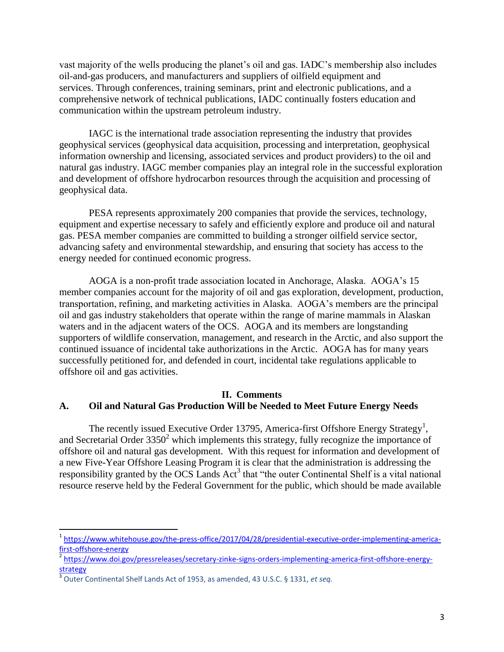vast majority of the wells producing the planet's oil and gas. IADC's membership also includes oil-and-gas producers, and manufacturers and suppliers of oilfield equipment and services. Through conferences, training seminars, print and electronic publications, and a comprehensive network of technical publications, IADC continually fosters education and communication within the upstream petroleum industry.

IAGC is the international trade association representing the industry that provides geophysical services (geophysical data acquisition, processing and interpretation, geophysical information ownership and licensing, associated services and product providers) to the oil and natural gas industry. IAGC member companies play an integral role in the successful exploration and development of offshore hydrocarbon resources through the acquisition and processing of geophysical data.

PESA represents approximately 200 companies that provide the services, technology, equipment and expertise necessary to safely and efficiently explore and produce oil and natural gas. PESA member companies are committed to building a stronger oilfield service sector, advancing safety and environmental stewardship, and ensuring that society has access to the energy needed for continued economic progress.

AOGA is a non-profit trade association located in Anchorage, Alaska. AOGA's 15 member companies account for the majority of oil and gas exploration, development, production, transportation, refining, and marketing activities in Alaska. AOGA's members are the principal oil and gas industry stakeholders that operate within the range of marine mammals in Alaskan waters and in the adjacent waters of the OCS. AOGA and its members are longstanding supporters of wildlife conservation, management, and research in the Arctic, and also support the continued issuance of incidental take authorizations in the Arctic. AOGA has for many years successfully petitioned for, and defended in court, incidental take regulations applicable to offshore oil and gas activities.

# **II. Comments A. Oil and Natural Gas Production Will be Needed to Meet Future Energy Needs**

The recently issued Executive Order 13795, America-first Offshore Energy Strategy<sup>1</sup>, and Secretarial Order  $3350^2$  which implements this strategy, fully recognize the importance of offshore oil and natural gas development. With this request for information and development of a new Five-Year Offshore Leasing Program it is clear that the administration is addressing the responsibility granted by the OCS Lands  $Act<sup>3</sup>$  that "the outer Continental Shelf is a vital national resource reserve held by the Federal Government for the public, which should be made available

 $\overline{\phantom{a}}$ 

<sup>&</sup>lt;sup>1</sup> [https://www.whitehouse.gov/the-press-office/2017/04/28/presidential-executive-order-implementing-america](https://www.whitehouse.gov/the-press-office/2017/04/28/presidential-executive-order-implementing-america-first-offshore-energy)[first-offshore-energy](https://www.whitehouse.gov/the-press-office/2017/04/28/presidential-executive-order-implementing-america-first-offshore-energy)

<sup>&</sup>lt;sup>2</sup> [https://www.doi.gov/pressreleases/secretary-zinke-signs-orders-implementing-america-first-offshore-energy](https://www.doi.gov/pressreleases/secretary-zinke-signs-orders-implementing-america-first-offshore-energy-strategy)[strategy](https://www.doi.gov/pressreleases/secretary-zinke-signs-orders-implementing-america-first-offshore-energy-strategy)

<sup>3</sup> Outer Continental Shelf Lands Act of 1953, as amended, 43 U.S.C. § 1331, *et seq.*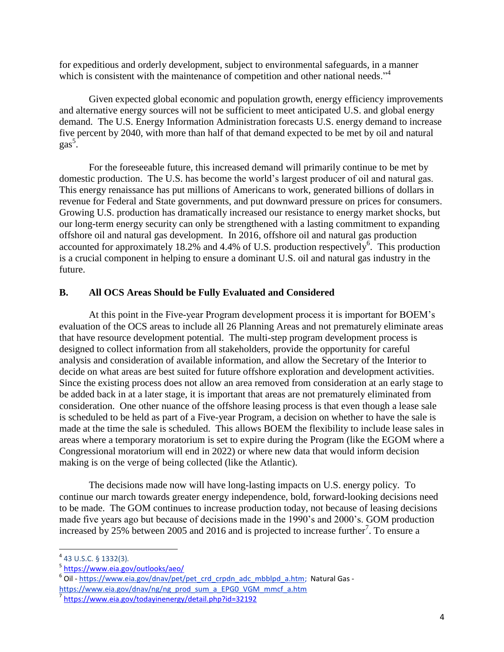for expeditious and orderly development, subject to environmental safeguards, in a manner which is consistent with the maintenance of competition and other national needs."<sup>4</sup>

Given expected global economic and population growth, energy efficiency improvements and alternative energy sources will not be sufficient to meet anticipated U.S. and global energy demand. The U.S. Energy Information Administration forecasts U.S. energy demand to increase five percent by 2040, with more than half of that demand expected to be met by oil and natural  $gas<sup>5</sup>$ .

For the foreseeable future, this increased demand will primarily continue to be met by domestic production. The U.S. has become the world's largest producer of oil and natural gas. This energy renaissance has put millions of Americans to work, generated billions of dollars in revenue for Federal and State governments, and put downward pressure on prices for consumers. Growing U.S. production has dramatically increased our resistance to energy market shocks, but our long-term energy security can only be strengthened with a lasting commitment to expanding offshore oil and natural gas development. In 2016, offshore oil and natural gas production accounted for approximately 18.2% and 4.4% of U.S. production respectively<sup>6</sup>. This production is a crucial component in helping to ensure a dominant U.S. oil and natural gas industry in the future.

# **B. All OCS Areas Should be Fully Evaluated and Considered**

At this point in the Five-year Program development process it is important for BOEM's evaluation of the OCS areas to include all 26 Planning Areas and not prematurely eliminate areas that have resource development potential. The multi-step program development process is designed to collect information from all stakeholders, provide the opportunity for careful analysis and consideration of available information, and allow the Secretary of the Interior to decide on what areas are best suited for future offshore exploration and development activities. Since the existing process does not allow an area removed from consideration at an early stage to be added back in at a later stage, it is important that areas are not prematurely eliminated from consideration. One other nuance of the offshore leasing process is that even though a lease sale is scheduled to be held as part of a Five-year Program, a decision on whether to have the sale is made at the time the sale is scheduled. This allows BOEM the flexibility to include lease sales in areas where a temporary moratorium is set to expire during the Program (like the EGOM where a Congressional moratorium will end in 2022) or where new data that would inform decision making is on the verge of being collected (like the Atlantic).

The decisions made now will have long-lasting impacts on U.S. energy policy. To continue our march towards greater energy independence, bold, forward-looking decisions need to be made. The GOM continues to increase production today, not because of leasing decisions made five years ago but because of decisions made in the 1990's and 2000's. GOM production increased by 25% between 2005 and 2016 and is projected to increase further<sup>7</sup>. To ensure a

 $\overline{\phantom{a}}$ 

<sup>4</sup> 43 U.S.C. § 1332(3)*.*

<sup>&</sup>lt;sup>5</sup> <https://www.eia.gov/outlooks/aeo/>

<sup>&</sup>lt;sup>6</sup> Oil - [https://www.eia.gov/dnav/pet/pet\\_crd\\_crpdn\\_adc\\_mbblpd\\_a.htm;](https://www.eia.gov/dnav/pet/pet_crd_crpdn_adc_mbblpd_a.htm) Natural Gas [https://www.eia.gov/dnav/ng/ng\\_prod\\_sum\\_a\\_EPG0\\_VGM\\_mmcf\\_a.htm](https://www.eia.gov/dnav/ng/ng_prod_sum_a_EPG0_VGM_mmcf_a.htm)

<sup>&</sup>lt;sup>7</sup> <https://www.eia.gov/todayinenergy/detail.php?id=32192>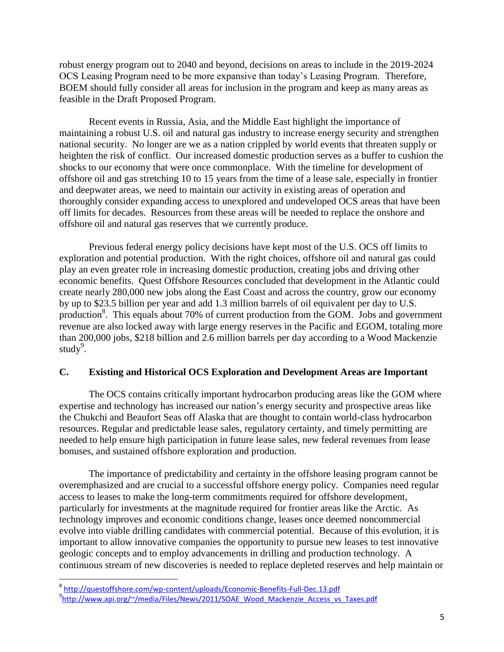robust energy program out to 2040 and beyond, decisions on areas to include in the 2019-2024 OCS Leasing Program need to be more expansive than today's Leasing Program. Therefore, BOEM should fully consider all areas for inclusion in the program and keep as many areas as feasible in the Draft Proposed Program.

Recent events in Russia, Asia, and the Middle East highlight the importance of maintaining a robust U.S. oil and natural gas industry to increase energy security and strengthen national security. No longer are we as a nation crippled by world events that threaten supply or heighten the risk of conflict. Our increased domestic production serves as a buffer to cushion the shocks to our economy that were once commonplace. With the timeline for development of offshore oil and gas stretching 10 to 15 years from the time of a lease sale, especially in frontier and deepwater areas, we need to maintain our activity in existing areas of operation and thoroughly consider expanding access to unexplored and undeveloped OCS areas that have been off limits for decades. Resources from these areas will be needed to replace the onshore and offshore oil and natural gas reserves that we currently produce.

Previous federal energy policy decisions have kept most of the U.S. OCS off limits to exploration and potential production. With the right choices, offshore oil and natural gas could play an even greater role in increasing domestic production, creating jobs and driving other economic benefits. Quest Offshore Resources concluded that development in the Atlantic could create nearly 280,000 new jobs along the East Coast and across the country, grow our economy by up to \$23.5 billion per year and add 1.3 million barrels of oil equivalent per day to U.S. production<sup>8</sup>. This equals about 70% of current production from the GOM. Jobs and government revenue are also locked away with large energy reserves in the Pacific and EGOM, totaling more than 200,000 jobs, \$218 billion and 2.6 million barrels per day according to a Wood Mackenzie study $9$ .

### **C. Existing and Historical OCS Exploration and Development Areas are Important**

The OCS contains critically important hydrocarbon producing areas like the GOM where expertise and technology has increased our nation's energy security and prospective areas like the Chukchi and Beaufort Seas off Alaska that are thought to contain world-class hydrocarbon resources. Regular and predictable lease sales, regulatory certainty, and timely permitting are needed to help ensure high participation in future lease sales, new federal revenues from lease bonuses, and sustained offshore exploration and production.

The importance of predictability and certainty in the offshore leasing program cannot be overemphasized and are crucial to a successful offshore energy policy. Companies need regular access to leases to make the long-term commitments required for offshore development, particularly for investments at the magnitude required for frontier areas like the Arctic. As technology improves and economic conditions change, leases once deemed noncommercial evolve into viable drilling candidates with commercial potential. Because of this evolution, it is important to allow innovative companies the opportunity to pursue new leases to test innovative geologic concepts and to employ advancements in drilling and production technology. A continuous stream of new discoveries is needed to replace depleted reserves and help maintain or

 $\overline{a}$ 

<sup>&</sup>lt;sup>8</sup> <http://questoffshore.com/wp-content/uploads/Economic-Benefits-Full-Dec.13.pdf> 9<br>[http://www.api.org/~/media/Files/News/2011/SOAE\\_Wood\\_Mackenzie\\_Access\\_vs\\_Taxes.pdf](http://www.api.org/~/media/Files/News/2011/SOAE_Wood_Mackenzie_Access_vs_Taxes.pdf)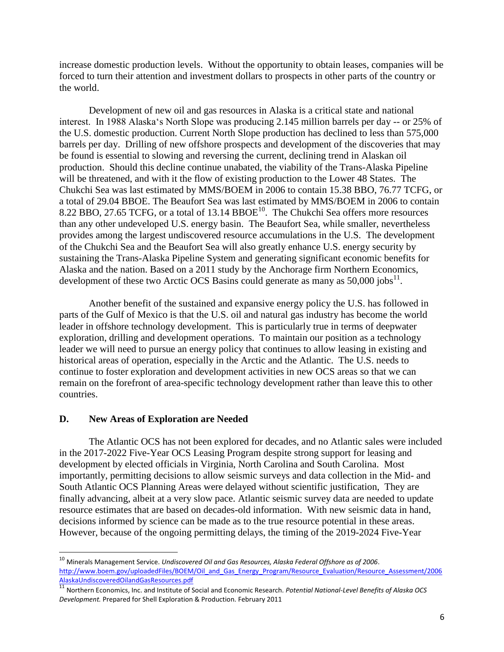increase domestic production levels. Without the opportunity to obtain leases, companies will be forced to turn their attention and investment dollars to prospects in other parts of the country or the world.

Development of new oil and gas resources in Alaska is a critical state and national interest. In 1988 Alaska's North Slope was producing 2.145 million barrels per day -- or 25% of the U.S. domestic production. Current North Slope production has declined to less than 575,000 barrels per day. Drilling of new offshore prospects and development of the discoveries that may be found is essential to slowing and reversing the current, declining trend in Alaskan oil production. Should this decline continue unabated, the viability of the Trans-Alaska Pipeline will be threatened, and with it the flow of existing production to the Lower 48 States. The Chukchi Sea was last estimated by MMS/BOEM in 2006 to contain 15.38 BBO, 76.77 TCFG, or a total of 29.04 BBOE. The Beaufort Sea was last estimated by MMS/BOEM in 2006 to contain 8.22 BBO, 27.65 TCFG, or a total of 13.14 BBOE<sup>10</sup>. The Chukchi Sea offers more resources than any other undeveloped U.S. energy basin. The Beaufort Sea, while smaller, nevertheless provides among the largest undiscovered resource accumulations in the U.S. The development of the Chukchi Sea and the Beaufort Sea will also greatly enhance U.S. energy security by sustaining the Trans-Alaska Pipeline System and generating significant economic benefits for Alaska and the nation. Based on a 2011 study by the Anchorage firm Northern Economics, development of these two Arctic OCS Basins could generate as many as  $50,000$  jobs<sup>11</sup>.

Another benefit of the sustained and expansive energy policy the U.S. has followed in parts of the Gulf of Mexico is that the U.S. oil and natural gas industry has become the world leader in offshore technology development. This is particularly true in terms of deepwater exploration, drilling and development operations. To maintain our position as a technology leader we will need to pursue an energy policy that continues to allow leasing in existing and historical areas of operation, especially in the Arctic and the Atlantic. The U.S. needs to continue to foster exploration and development activities in new OCS areas so that we can remain on the forefront of area-specific technology development rather than leave this to other countries.

#### **D. New Areas of Exploration are Needed**

 $\overline{a}$ 

The Atlantic OCS has not been explored for decades, and no Atlantic sales were included in the 2017-2022 Five-Year OCS Leasing Program despite strong support for leasing and development by elected officials in Virginia, North Carolina and South Carolina. Most importantly, permitting decisions to allow seismic surveys and data collection in the Mid- and South Atlantic OCS Planning Areas were delayed without scientific justification, They are finally advancing, albeit at a very slow pace. Atlantic seismic survey data are needed to update resource estimates that are based on decades-old information. With new seismic data in hand, decisions informed by science can be made as to the true resource potential in these areas. However, because of the ongoing permitting delays, the timing of the 2019-2024 Five-Year

<sup>10</sup> Minerals Management Service. *Undiscovered Oil and Gas Resources, Alaska Federal Offshore as of 2006*. http://www.boem.gov/uploadedFiles/BOEM/Oil and Gas Energy Program/Resource Evaluation/Resource Assessment/2006 [AlaskaUndiscoveredOilandGasResources.pdf](http://www.boem.gov/uploadedFiles/BOEM/Oil_and_Gas_Energy_Program/Resource_Evaluation/Resource_Assessment/2006AlaskaUndiscoveredOilandGasResources.pdf)

<sup>11</sup> Northern Economics, Inc. and Institute of Social and Economic Research. *Potential National-Level Benefits of Alaska OCS Development.* Prepared for Shell Exploration & Production. February 2011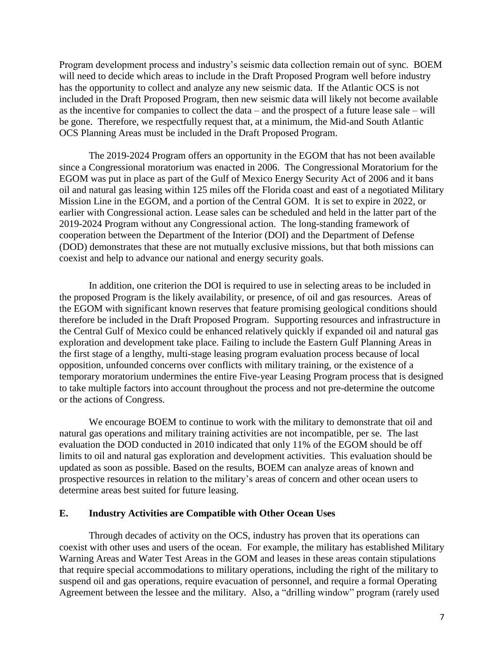Program development process and industry's seismic data collection remain out of sync. BOEM will need to decide which areas to include in the Draft Proposed Program well before industry has the opportunity to collect and analyze any new seismic data. If the Atlantic OCS is not included in the Draft Proposed Program, then new seismic data will likely not become available as the incentive for companies to collect the data – and the prospect of a future lease sale – will be gone. Therefore, we respectfully request that, at a minimum, the Mid-and South Atlantic OCS Planning Areas must be included in the Draft Proposed Program.

The 2019-2024 Program offers an opportunity in the EGOM that has not been available since a Congressional moratorium was enacted in 2006. The Congressional Moratorium for the EGOM was put in place as part of the Gulf of Mexico Energy Security Act of 2006 and it bans oil and natural gas leasing within 125 miles off the Florida coast and east of a negotiated Military Mission Line in the EGOM, and a portion of the Central GOM. It is set to expire in 2022, or earlier with Congressional action. Lease sales can be scheduled and held in the latter part of the 2019-2024 Program without any Congressional action. The long-standing framework of cooperation between the Department of the Interior (DOI) and the Department of Defense (DOD) demonstrates that these are not mutually exclusive missions, but that both missions can coexist and help to advance our national and energy security goals.

In addition, one criterion the DOI is required to use in selecting areas to be included in the proposed Program is the likely availability, or presence, of oil and gas resources. Areas of the EGOM with significant known reserves that feature promising geological conditions should therefore be included in the Draft Proposed Program. Supporting resources and infrastructure in the Central Gulf of Mexico could be enhanced relatively quickly if expanded oil and natural gas exploration and development take place. Failing to include the Eastern Gulf Planning Areas in the first stage of a lengthy, multi-stage leasing program evaluation process because of local opposition, unfounded concerns over conflicts with military training, or the existence of a temporary moratorium undermines the entire Five-year Leasing Program process that is designed to take multiple factors into account throughout the process and not pre-determine the outcome or the actions of Congress.

We encourage BOEM to continue to work with the military to demonstrate that oil and natural gas operations and military training activities are not incompatible, per se. The last evaluation the DOD conducted in 2010 indicated that only 11% of the EGOM should be off limits to oil and natural gas exploration and development activities. This evaluation should be updated as soon as possible. Based on the results, BOEM can analyze areas of known and prospective resources in relation to the military's areas of concern and other ocean users to determine areas best suited for future leasing.

#### **E. Industry Activities are Compatible with Other Ocean Uses**

Through decades of activity on the OCS, industry has proven that its operations can coexist with other uses and users of the ocean. For example, the military has established Military Warning Areas and Water Test Areas in the GOM and leases in these areas contain stipulations that require special accommodations to military operations, including the right of the military to suspend oil and gas operations, require evacuation of personnel, and require a formal Operating Agreement between the lessee and the military. Also, a "drilling window" program (rarely used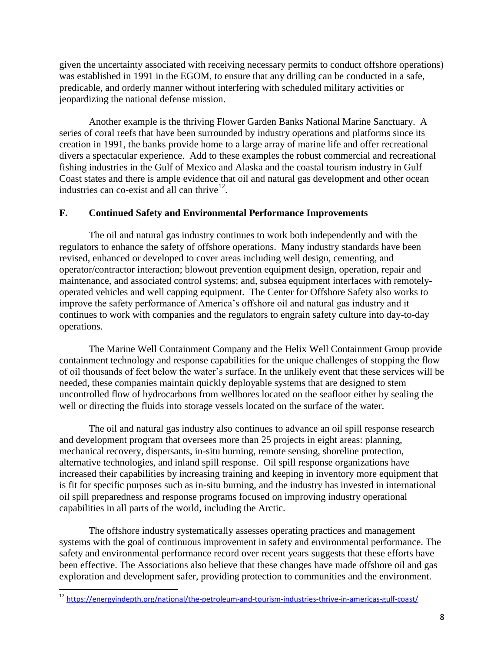given the uncertainty associated with receiving necessary permits to conduct offshore operations) was established in 1991 in the EGOM, to ensure that any drilling can be conducted in a safe, predicable, and orderly manner without interfering with scheduled military activities or jeopardizing the national defense mission.

Another example is the thriving Flower Garden Banks National Marine Sanctuary. A series of coral reefs that have been surrounded by industry operations and platforms since its creation in 1991, the banks provide home to a large array of marine life and offer recreational divers a spectacular experience. Add to these examples the robust commercial and recreational fishing industries in the Gulf of Mexico and Alaska and the coastal tourism industry in Gulf Coast states and there is ample evidence that oil and natural gas development and other ocean industries can co-exist and all can thrive  $12$ .

# **F. Continued Safety and Environmental Performance Improvements**

The oil and natural gas industry continues to work both independently and with the regulators to enhance the safety of offshore operations. Many industry standards have been revised, enhanced or developed to cover areas including well design, cementing, and operator/contractor interaction; blowout prevention equipment design, operation, repair and maintenance, and associated control systems; and, subsea equipment interfaces with remotelyoperated vehicles and well capping equipment. The Center for Offshore Safety also works to improve the safety performance of America's offshore oil and natural gas industry and it continues to work with companies and the regulators to engrain safety culture into day-to-day operations.

The Marine Well Containment Company and the Helix Well Containment Group provide containment technology and response capabilities for the unique challenges of stopping the flow of oil thousands of feet below the water's surface. In the unlikely event that these services will be needed, these companies maintain quickly deployable systems that are designed to stem uncontrolled flow of hydrocarbons from wellbores located on the seafloor either by sealing the well or directing the fluids into storage vessels located on the surface of the water.

The oil and natural gas industry also continues to advance an oil spill response research and development program that oversees more than 25 projects in eight areas: planning, mechanical recovery, dispersants, in-situ burning, remote sensing, shoreline protection, alternative technologies, and inland spill response. Oil spill response organizations have increased their capabilities by increasing training and keeping in inventory more equipment that is fit for specific purposes such as in-situ burning, and the industry has invested in international oil spill preparedness and response programs focused on improving industry operational capabilities in all parts of the world, including the Arctic.

The offshore industry systematically assesses operating practices and management systems with the goal of continuous improvement in safety and environmental performance. The safety and environmental performance record over recent years suggests that these efforts have been effective. The Associations also believe that these changes have made offshore oil and gas exploration and development safer, providing protection to communities and the environment.

 $\overline{\phantom{a}}$ 

<sup>&</sup>lt;sup>12</sup> <https://energyindepth.org/national/the-petroleum-and-tourism-industries-thrive-in-americas-gulf-coast/>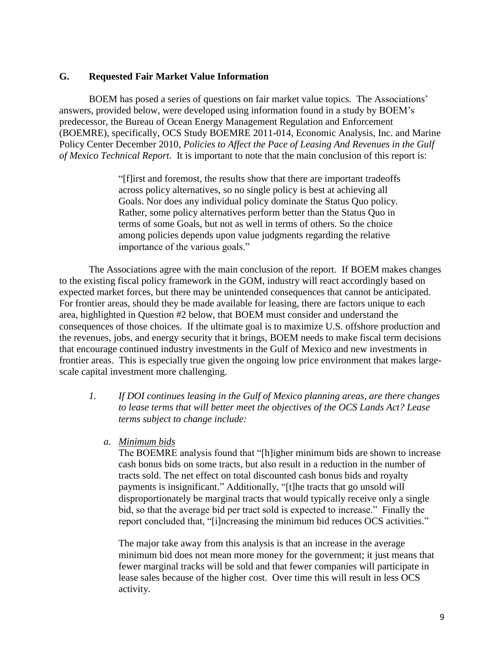### **G. Requested Fair Market Value Information**

BOEM has posed a series of questions on fair market value topics. The Associations' answers, provided below, were developed using information found in a study by BOEM's predecessor, the Bureau of Ocean Energy Management Regulation and Enforcement (BOEMRE), specifically, OCS Study BOEMRE 2011-014, Economic Analysis, Inc. and Marine Policy Center December 2010, *Policies to Affect the Pace of Leasing And Revenues in the Gulf of Mexico Technical Report.* It is important to note that the main conclusion of this report is:

> "[f]irst and foremost, the results show that there are important tradeoffs across policy alternatives, so no single policy is best at achieving all Goals. Nor does any individual policy dominate the Status Quo policy. Rather, some policy alternatives perform better than the Status Quo in terms of some Goals, but not as well in terms of others. So the choice among policies depends upon value judgments regarding the relative importance of the various goals."

The Associations agree with the main conclusion of the report. If BOEM makes changes to the existing fiscal policy framework in the GOM, industry will react accordingly based on expected market forces, but there may be unintended consequences that cannot be anticipated. For frontier areas, should they be made available for leasing, there are factors unique to each area, highlighted in Question #2 below, that BOEM must consider and understand the consequences of those choices. If the ultimate goal is to maximize U.S. offshore production and the revenues, jobs, and energy security that it brings, BOEM needs to make fiscal term decisions that encourage continued industry investments in the Gulf of Mexico and new investments in frontier areas. This is especially true given the ongoing low price environment that makes largescale capital investment more challenging.

- *1. If DOI continues leasing in the Gulf of Mexico planning areas, are there changes to lease terms that will better meet the objectives of the OCS Lands Act? Lease terms subject to change include:*
	- *a. Minimum bids*

The BOEMRE analysis found that "[h]igher minimum bids are shown to increase cash bonus bids on some tracts, but also result in a reduction in the number of tracts sold. The net effect on total discounted cash bonus bids and royalty payments is insignificant." Additionally, "[t]he tracts that go unsold will disproportionately be marginal tracts that would typically receive only a single bid, so that the average bid per tract sold is expected to increase." Finally the report concluded that, "[i]ncreasing the minimum bid reduces OCS activities."

The major take away from this analysis is that an increase in the average minimum bid does not mean more money for the government; it just means that fewer marginal tracks will be sold and that fewer companies will participate in lease sales because of the higher cost. Over time this will result in less OCS activity.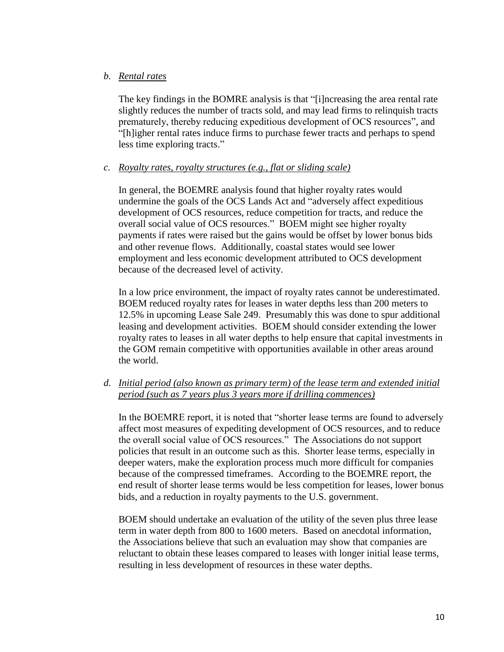## *b. Rental rates*

The key findings in the BOMRE analysis is that "[i]ncreasing the area rental rate slightly reduces the number of tracts sold, and may lead firms to relinquish tracts prematurely, thereby reducing expeditious development of OCS resources", and "[h]igher rental rates induce firms to purchase fewer tracts and perhaps to spend less time exploring tracts."

## *c. Royalty rates, royalty structures (e.g., flat or sliding scale)*

In general, the BOEMRE analysis found that higher royalty rates would undermine the goals of the OCS Lands Act and "adversely affect expeditious development of OCS resources, reduce competition for tracts, and reduce the overall social value of OCS resources." BOEM might see higher royalty payments if rates were raised but the gains would be offset by lower bonus bids and other revenue flows. Additionally, coastal states would see lower employment and less economic development attributed to OCS development because of the decreased level of activity.

In a low price environment, the impact of royalty rates cannot be underestimated. BOEM reduced royalty rates for leases in water depths less than 200 meters to 12.5% in upcoming Lease Sale 249. Presumably this was done to spur additional leasing and development activities. BOEM should consider extending the lower royalty rates to leases in all water depths to help ensure that capital investments in the GOM remain competitive with opportunities available in other areas around the world.

## *d. Initial period (also known as primary term) of the lease term and extended initial period (such as 7 years plus 3 years more if drilling commences)*

In the BOEMRE report, it is noted that "shorter lease terms are found to adversely affect most measures of expediting development of OCS resources, and to reduce the overall social value of OCS resources." The Associations do not support policies that result in an outcome such as this. Shorter lease terms, especially in deeper waters, make the exploration process much more difficult for companies because of the compressed timeframes. According to the BOEMRE report, the end result of shorter lease terms would be less competition for leases, lower bonus bids, and a reduction in royalty payments to the U.S. government.

BOEM should undertake an evaluation of the utility of the seven plus three lease term in water depth from 800 to 1600 meters. Based on anecdotal information, the Associations believe that such an evaluation may show that companies are reluctant to obtain these leases compared to leases with longer initial lease terms, resulting in less development of resources in these water depths.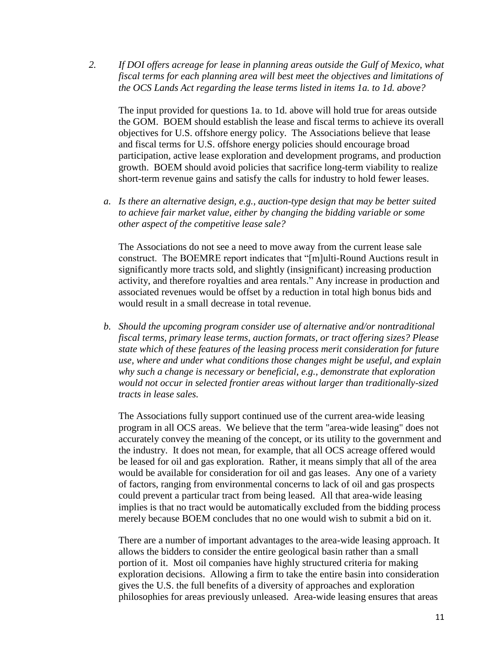*2. If DOI offers acreage for lease in planning areas outside the Gulf of Mexico, what fiscal terms for each planning area will best meet the objectives and limitations of the OCS Lands Act regarding the lease terms listed in items 1a. to 1d. above?*

The input provided for questions 1a. to 1d. above will hold true for areas outside the GOM. BOEM should establish the lease and fiscal terms to achieve its overall objectives for U.S. offshore energy policy. The Associations believe that lease and fiscal terms for U.S. offshore energy policies should encourage broad participation, active lease exploration and development programs, and production growth. BOEM should avoid policies that sacrifice long-term viability to realize short-term revenue gains and satisfy the calls for industry to hold fewer leases.

*a. Is there an alternative design, e.g., auction-type design that may be better suited to achieve fair market value, either by changing the bidding variable or some other aspect of the competitive lease sale?*

The Associations do not see a need to move away from the current lease sale construct. The BOEMRE report indicates that "[m]ulti-Round Auctions result in significantly more tracts sold, and slightly (insignificant) increasing production activity, and therefore royalties and area rentals." Any increase in production and associated revenues would be offset by a reduction in total high bonus bids and would result in a small decrease in total revenue.

*b. Should the upcoming program consider use of alternative and/or nontraditional fiscal terms, primary lease terms, auction formats, or tract offering sizes? Please state which of these features of the leasing process merit consideration for future use, where and under what conditions those changes might be useful, and explain why such a change is necessary or beneficial, e.g., demonstrate that exploration would not occur in selected frontier areas without larger than traditionally-sized tracts in lease sales.*

The Associations fully support continued use of the current area-wide leasing program in all OCS areas. We believe that the term "area-wide leasing" does not accurately convey the meaning of the concept, or its utility to the government and the industry. It does not mean, for example, that all OCS acreage offered would be leased for oil and gas exploration. Rather, it means simply that all of the area would be available for consideration for oil and gas leases. Any one of a variety of factors, ranging from environmental concerns to lack of oil and gas prospects could prevent a particular tract from being leased. All that area-wide leasing implies is that no tract would be automatically excluded from the bidding process merely because BOEM concludes that no one would wish to submit a bid on it.

There are a number of important advantages to the area-wide leasing approach. It allows the bidders to consider the entire geological basin rather than a small portion of it. Most oil companies have highly structured criteria for making exploration decisions. Allowing a firm to take the entire basin into consideration gives the U.S. the full benefits of a diversity of approaches and exploration philosophies for areas previously unleased. Area-wide leasing ensures that areas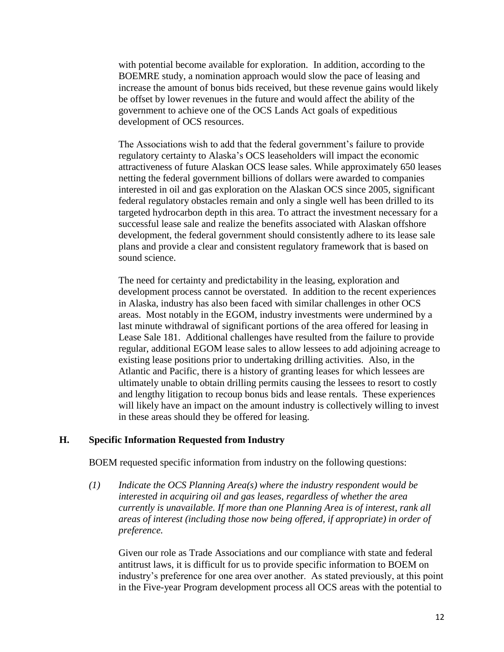with potential become available for exploration. In addition, according to the BOEMRE study, a nomination approach would slow the pace of leasing and increase the amount of bonus bids received, but these revenue gains would likely be offset by lower revenues in the future and would affect the ability of the government to achieve one of the OCS Lands Act goals of expeditious development of OCS resources.

The Associations wish to add that the federal government's failure to provide regulatory certainty to Alaska's OCS leaseholders will impact the economic attractiveness of future Alaskan OCS lease sales. While approximately 650 leases netting the federal government billions of dollars were awarded to companies interested in oil and gas exploration on the Alaskan OCS since 2005, significant federal regulatory obstacles remain and only a single well has been drilled to its targeted hydrocarbon depth in this area. To attract the investment necessary for a successful lease sale and realize the benefits associated with Alaskan offshore development, the federal government should consistently adhere to its lease sale plans and provide a clear and consistent regulatory framework that is based on sound science.

The need for certainty and predictability in the leasing, exploration and development process cannot be overstated. In addition to the recent experiences in Alaska, industry has also been faced with similar challenges in other OCS areas. Most notably in the EGOM, industry investments were undermined by a last minute withdrawal of significant portions of the area offered for leasing in Lease Sale 181. Additional challenges have resulted from the failure to provide regular, additional EGOM lease sales to allow lessees to add adjoining acreage to existing lease positions prior to undertaking drilling activities. Also, in the Atlantic and Pacific, there is a history of granting leases for which lessees are ultimately unable to obtain drilling permits causing the lessees to resort to costly and lengthy litigation to recoup bonus bids and lease rentals. These experiences will likely have an impact on the amount industry is collectively willing to invest in these areas should they be offered for leasing.

### **H. Specific Information Requested from Industry**

BOEM requested specific information from industry on the following questions:

*(1) Indicate the OCS Planning Area(s) where the industry respondent would be interested in acquiring oil and gas leases, regardless of whether the area currently is unavailable. If more than one Planning Area is of interest, rank all areas of interest (including those now being offered, if appropriate) in order of preference.*

Given our role as Trade Associations and our compliance with state and federal antitrust laws, it is difficult for us to provide specific information to BOEM on industry's preference for one area over another. As stated previously, at this point in the Five-year Program development process all OCS areas with the potential to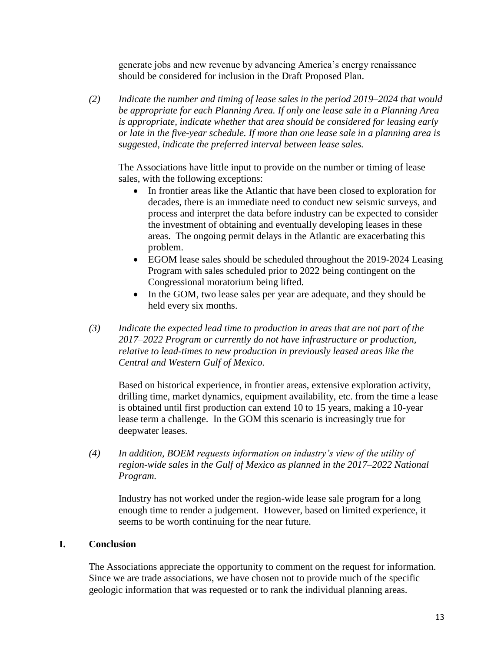generate jobs and new revenue by advancing America's energy renaissance should be considered for inclusion in the Draft Proposed Plan.

*(2) Indicate the number and timing of lease sales in the period 2019–2024 that would be appropriate for each Planning Area. If only one lease sale in a Planning Area is appropriate, indicate whether that area should be considered for leasing early or late in the five-year schedule. If more than one lease sale in a planning area is suggested, indicate the preferred interval between lease sales.*

The Associations have little input to provide on the number or timing of lease sales, with the following exceptions:

- In frontier areas like the Atlantic that have been closed to exploration for decades, there is an immediate need to conduct new seismic surveys, and process and interpret the data before industry can be expected to consider the investment of obtaining and eventually developing leases in these areas. The ongoing permit delays in the Atlantic are exacerbating this problem.
- EGOM lease sales should be scheduled throughout the 2019-2024 Leasing Program with sales scheduled prior to 2022 being contingent on the Congressional moratorium being lifted.
- In the GOM, two lease sales per year are adequate, and they should be held every six months.
- *(3) Indicate the expected lead time to production in areas that are not part of the 2017–2022 Program or currently do not have infrastructure or production, relative to lead-times to new production in previously leased areas like the Central and Western Gulf of Mexico.*

Based on historical experience, in frontier areas, extensive exploration activity, drilling time, market dynamics, equipment availability, etc. from the time a lease is obtained until first production can extend 10 to 15 years, making a 10-year lease term a challenge. In the GOM this scenario is increasingly true for deepwater leases.

*(4) In addition, BOEM requests information on industry's view of the utility of region-wide sales in the Gulf of Mexico as planned in the 2017–2022 National Program.*

Industry has not worked under the region-wide lease sale program for a long enough time to render a judgement. However, based on limited experience, it seems to be worth continuing for the near future.

### **I. Conclusion**

The Associations appreciate the opportunity to comment on the request for information. Since we are trade associations, we have chosen not to provide much of the specific geologic information that was requested or to rank the individual planning areas.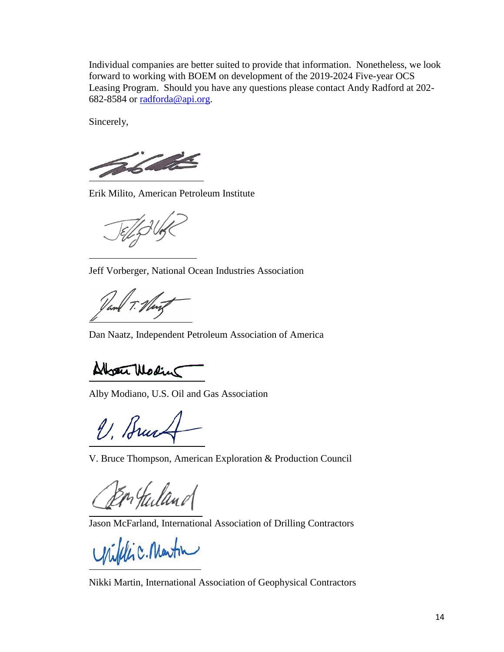Individual companies are better suited to provide that information. Nonetheless, we look forward to working with BOEM on development of the 2019-2024 Five-year OCS Leasing Program. Should you have any questions please contact Andy Radford at 202- 682-8584 or [radforda@api.org.](mailto:radforda@api.org)

Sincerely,

The fact of the

Erik Milito, American Petroleum Institute

Jeff Vorberger, National Ocean Industries Association

Dan Naatz, Independent Petroleum Association of America

Absent Modin

Alby Modiano, U.S. Oil and Gas Association

V. Brucht

V. Bruce Thompson, American Exploration & Production Council

n Julano

Jason McFarland, International Association of Drilling Contractors

Wifelic. Martin

Nikki Martin, International Association of Geophysical Contractors